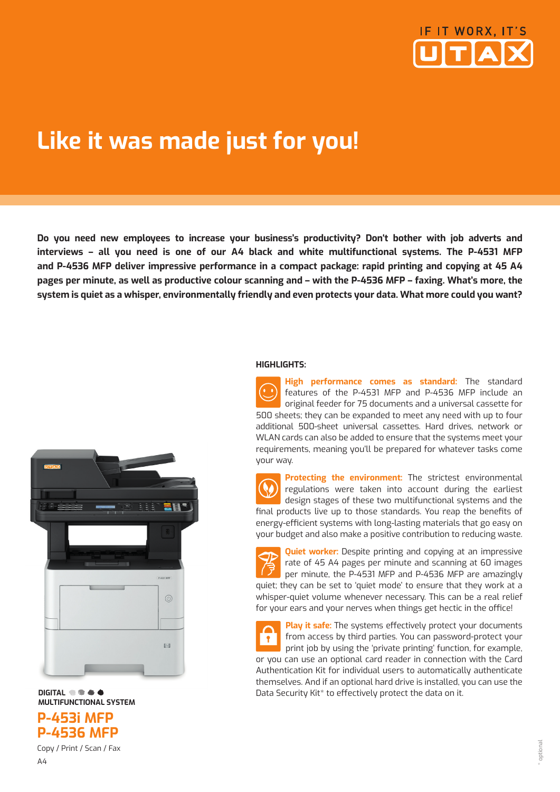

## **Like it was made just for you!**

**Do you need new employees to increase your business's productivity? Don't bother with job adverts and interviews – all you need is one of our A4 black and white multifunctional systems. The P-4531 MFP and P-4536 MFP deliver impressive performance in a compact package: rapid printing and copying at 45 A4 pages per minute, as well as productive colour scanning and – with the P-4536 MFP – faxing. What's more, the system is quiet as a whisper, environmentally friendly and even protects your data. What more could you want?**



**DIGITAL <b>@** @ & @  **MULTIFUNCTIONAL SYSTEM P-453i MFP** 



### Copy / Print / Scan / Fax

### **HIGHLIGHTS:**

**High performance comes as standard:** The standard features of the P-4531 MFP and P-4536 MFP include an original feeder for 75 documents and a universal cassette for 500 sheets; they can be expanded to meet any need with up to four additional 500-sheet universal cassettes. Hard drives, network or WLAN cards can also be added to ensure that the systems meet your requirements, meaning you'll be prepared for whatever tasks come your way.

**Protecting the environment:** The strictest environmental regulations were taken into account during the earliest design stages of these two multifunctional systems and the final products live up to those standards. You reap the benefits of energy-efficient systems with long-lasting materials that go easy on your budget and also make a positive contribution to reducing waste.

**Quiet worker:** Despite printing and copying at an impressive rate of 45 A4 pages per minute and scanning at 60 images per minute, the P-4531 MFP and P-4536 MFP are amazingly quiet; they can be set to 'quiet mode' to ensure that they work at a whisper-quiet volume whenever necessary. This can be a real relief for your ears and your nerves when things get hectic in the office!

**Play it safe:** The systems effectively protect your documents from access by third parties. You can password-protect your print job by using the 'private printing' function, for example, or you can use an optional card reader in connection with the Card Authentication Kit for individual users to automatically authenticate themselves. And if an optional hard drive is installed, you can use the Data Security Kit\* to effectively protect the data on it.